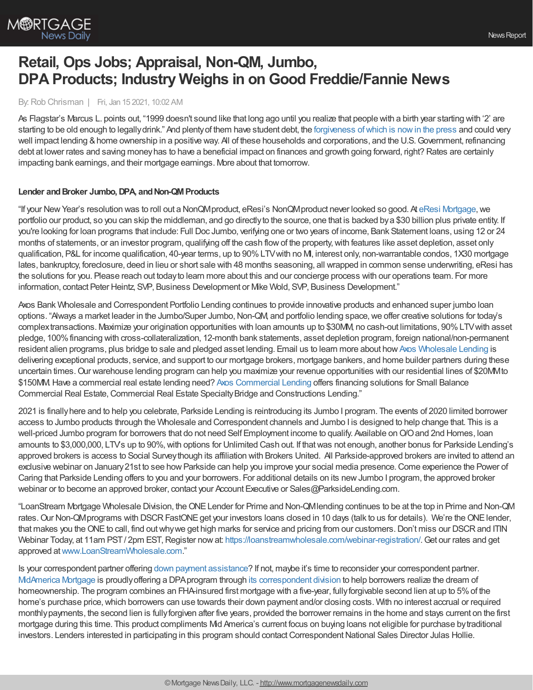

# **Retail, Ops Jobs; Appraisal, Non-QM, Jumbo, DPA Products; Industry Weighs in on Good Freddie/Fannie News**

#### By:Rob Chrisman | Fri, Jan 15 2021, 10:02 AM

As Flagstar's Marcus L. points out, "1999 doesn't sound like that long ago until you realize that people with a birth year starting with '2' are starting to be old enough to legallydrink." And plentyof them have student debt, the [forgiveness](https://www.builderonline.com/data-analysis/student-debt-forgiveness-and-the-housing-market-benefit-or-not_o?) ofwhich is nowin the press and could very well impact lending & home ownership in a positive way. All of these households and corporations, and the U.S. Government, refinancing debt at lower rates and saving moneyhas to have a beneficial impact on finances and growth going forward, right? Rates are certainly impacting bank earnings, and their mortgage earnings. More about that tomorrow.

#### Lender and Broker Jumbo, DPA, and Non-QM Products

"If your New Year's resolution was to roll out a NonQMproduct, eResi's NonQMproduct never looked so good. At eResi [Mortgage,](http://eresimortgage.com/) we portfolio our product, so you can skip the middleman, and go directlyto the source, one that is backed bya \$30 billion plus private entity. If you're looking for loan programs that include: Full Doc Jumbo, verifying one or two years of income, Bank Statement loans, using 12 or 24 months of statements, or an investor program, qualifying off the cash flowof the property,with features like asset depletion, asset only qualification, P&L for income qualification, 40-year terms, up to 90%LTVwith no MI, interest only, non-warrantable condos, 1X30 mortgage lates, bankruptcy, foreclosure, deed in lieu or short sale with 48 months seasoning, all wrapped in common sense underwriting, eResi has the solutions for you. Please reach out todayto learn more about this and our concierge process with our operations team. For more information, contact Peter Heintz, SVP, Business Development or Mike Wold, SVP, Business Development."

Axos Bank Wholesale and Correspondent Portfolio Lending continues to provide innovative products and enhanced super jumbo loan options. "Always a market leader in the Jumbo/Super Jumbo, Non-QM, and portfolio lending space, we offer creative solutions for today's complextransactions. Maximize your origination opportunities with loan amounts up to \$30MM, no cash-out limitations, 90%LTVwith asset pledge, 100%financing with cross-collateralization, 12-month bank statements, asset depletion program, foreign national/non-permanent resident alien programs, plus bridge to sale and pledged asset lending. Email us to learn more about how Axos [Wholesale](https://www.axosbank.com/Partners/Wholesale-Lending?utm_campaign=01589_wcpl_wcplchrisman&utm_medium=referral&utm_source=chrismanblog&utm_content=companyinfo_link) Lending is delivering exceptional products, service, and support to our mortgage brokers, mortgage bankers, and home builder partners during these uncertain times.Our warehouse lending program can help you maximize your revenue opportunities with our residential lines of \$20MMto \$150MM.Have a commercial real estate lending need? Axos [Commercial](https://www.axosbank.com/Business/Commercial-Lending) Lending offers financing solutions for Small Balance Commercial Real Estate, Commercial Real Estate Specialty Bridge and Constructions Lending."

2021 is finallyhere and to help you celebrate, Parkside Lending is reintroducing its Jumbo I program. The events of 2020 limited borrower access to Jumbo products through the Wholesale and Correspondent channels and Jumbo I is designed to help change that. This is a well-priced Jumbo program for borrowers that do not need Self Employment income to qualify. Available on O/O and 2nd Homes, loan amounts to \$3,000,000, LTVs up to 90%, with options for Unlimited Cash out. If that was not enough, another bonus for Parkside Lending's approved brokers is access to Social Surveythough its affiliation with Brokers United. All Parkside-approved brokers are invited to attend an exclusive webinar on January21st to see howParkside can help you improve your social media presence.Come experience the Power of Caring that Parkside Lending offers to you and your borrowers. For additional details on its newJumbo I program, the approved broker webinar or to become an approved broker, contact your Account Executive or Sales@ParksideLending.com.

"LoanStream Mortgage Wholesale Division, theONELender for Prime and Non-QMlending continues to be at the top in Prime and Non-QM rates. Our Non-QM programs with DSCR FastONE get your investors loans closed in 10 days (talk to us for details). We're the ONE lender, that makes you the ONE to call, find out why we get high marks for service and pricing from our customers. Don't miss our DSCR and ITIN Webinar Today, at 11am PST/ 2pm EST, Register now at: <https://loanstreamwholesale.com/webinar-registration/>. Get our rates and get approved at[www.LoanStreamWholesale.com](http://www.loanstreamwholesale.com/)."

Is your correspondent partner offering down payment [assistance](https://www.send2press.com/wire/mid-america-mortgage-expands-access-to-down-payment-assistance-program-to-its-correspondent-partners/)? If not, maybe it's time to reconsider your correspondent partner. [MidAmerica](https://www.midamericamortgage.com/) Mortgage is proudlyoffering a DPAprogram through its [correspondent](https://www.mamcorrespondent.com/) division to help borrowers realize the dream of homeownership. The program combines an FHA-insured first mortgage with a five-year, fully forgivable second lien at up to 5% of the home's purchase price, which borrowers can use towards their down payment and/or closing costs. With no interest accrual or required monthlypayments, the second lien is fullyforgiven after five years, provided the borrower remains in the home and stays current on the first mortgage during this time. This product compliments Mid America's current focus on buying loans not eligible for purchase bytraditional investors. Lenders interested in participating in this program should contact Correspondent National Sales Director Julas Hollie.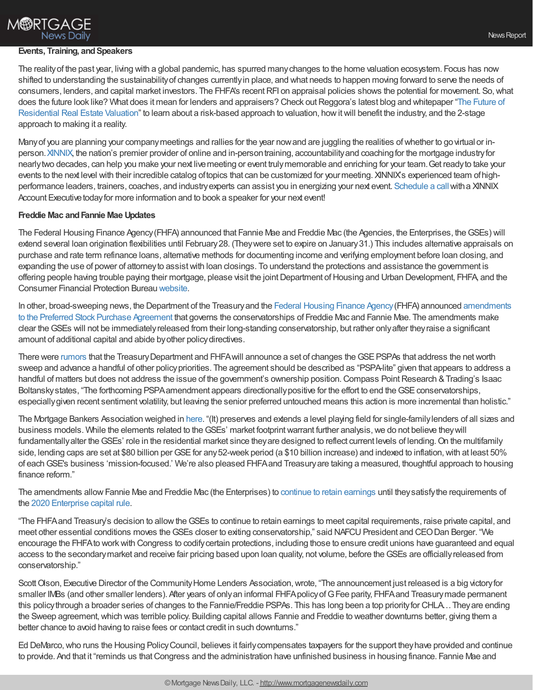### **M®RTGAGE News Daily**

#### **Events, Training, and Speakers**

The realityof the past year, living with a global pandemic, has spurred manychanges to the home valuation ecosystem. Focus has now shifted to understanding the sustainabilityof changes currentlyin place, and what needs to happen moving forward to serve the needs of consumers, lenders, and capital market investors. The FHFA's recentRFI on appraisal policies shows the potential for movement. So,what does the future look like? What does it mean for lenders and appraisers? Check out Reggora's latest blog and whitepaper "The Future of Residential Real Estate Valuation" to learn about a risk-based approach to valuation, how it will benefit the industry, and the 2-stage approach to making it a reality.

Many of you are planning your company meetings and rallies for the year now and are juggling the realities of whether to go virtual or in-person. [XINNIX](https://www.xinnix.com/), the nation's premier provider of online and in-person training, accountability and coaching for the mortgage industry for nearlytwo decades, can help you make your next livemeeting or event trulymemorable and enriching for your team.Get readyto take your events to the next level with their incredible catalog oftopics that can be customized for yourmeeting. XINNIX's experienced team ofhigh-performance leaders, trainers, coaches, and industry experts can assist you in energizing your next event. [Schedule](https://www2.xinnix.com/e/28182/schedulecall/44cyv5/1071761162?h=DS8DV03XmmzZ9K0ef76niYzh-O72dDb4XGca4RSwIYs) a call with a XINNIX Account Executive today for more information and to book a speaker for your next event!

#### **Freddie Mac andFannie Mae Updates**

The Federal Housing Finance Agency(FHFA) announced that Fannie Mae and Freddie Mac (the Agencies, the Enterprises, theGSEs) will extend several loan origination flexibilities until February28. (Theywere set to expire on January31.) This includes alternative appraisals on purchase and rate term refinance loans, alternative methods for documenting income and verifying employment before loan closing, and expanding the use of power of attorneyto assistwith loan closings. To understand the protections and assistance the government is offering people having trouble paying their mortgage, please visit the joint Department of Housing and Urban Development, FHFA, and the Consumer Financial Protection Bureau [website](https://www.consumerfinance.gov/coronavirus/mortgage-and-housing-assistance/).

In other, broad-sweeping news, the Department of the Treasuryand the Federal [Housing](https://www.fhfa.gov/Media/PublicAffairs/Pages/FHFA-and-Treasury-Allow-Fannie-Mae-and-Freddie-Mac-to-Continue-to-Retain-Earnings.aspx) Finance Agency(FHFA) announced amendments to the Preferred Stock Purchase Agreement that governs the [conservatorships](https://s3141176.t.en25.com/e/er?utm_campaign=MBA%20Member%20LTR%20Jan%2014%202021&utm_medium=email&utm_source=Eloqua&s=3141176&lid=3696&elqTrackId=81240B4FC5D591668AA32DF937491BC0&elq=aa5de37c87d74975a77091ca0c9799c7&elqaid=775&elqat=1) of Freddie Mac and Fannie Mae. The amendments make clear theGSEs will not be immediatelyreleased from their long-standing conservatorship, but rather onlyafter theyraise a significant amount of additional capital and abide by other policy directives.

There were [rumors](https://www.bloomberg.com/news/articles/2021-01-13/trump-team-s-final-act-on-fannie-freddie-leaves-fates-to-biden) that the Treasury Department and FHFA will announce a set of changes the GSE PSPAs that address the net worth sweep and advance a handful of other policy priorities. The agreement should be described as "PSPA-lite" given that appears to address a handful of matters but does not address the issue of the government's ownership position. Compass Point Research & Trading's Isaac Boltansky states, "The forthcoming PSPA amendment appears directionally positive for the effort to end the GSE conservatorships, especiallygiven recent sentiment volatility, but leaving the senior preferred untouched means this action is more incremental than holistic."

The Mortgage Bankers Association weighed in [here](https://s3141176.t.en25.com/e/er?utm_campaign=MBA%20Member%20LTR%20Jan%2014%202021&utm_medium=email&utm_source=Eloqua&s=3141176&lid=3695&elqTrackId=F3D72FE2FC2C1245F337427AC36733A1&elq=aa5de37c87d74975a77091ca0c9799c7&elqaid=775&elqat=1). "(It) preserves and extends a level playing field for single-family lenders of all sizes and business models. While the elements related to the GSEs' market footprint warrant further analysis, we do not believe they will fundamentally alter the GSEs' role in the residential market since they are designed to reflect current levels of lending. On the multifamily side, lending caps are set at \$80 billion per GSE for any 52-week period (a \$10 billion increase) and indexed to inflation, with at least 50% of eachGSE's business 'mission-focused.' We're also pleased FHFAand Treasuryare taking a measured, thoughtful approach to housing finance reform."

The amendments allow Fannie Mae and Freddie Mac (the Enterprises) to continue to retain [earnings](https://www.fhfa.gov/Media/PublicAffairs/Pages/FHFA-and-Treasury-Allow-Fannie-Mae-and-Freddie-Mac-to-Continue-to-Retain-Earnings.aspx) until they satisfy the requirements of the 2020 [Enterprise](https://www.fhfa.gov/Media/PublicAffairs/Pages/FHFA-Announces-Final-Capital-Rule-for-the-Enterprises.aspx) capital rule.

"The FHFAand Treasury's decision to allowtheGSEs to continue to retain earnings to meet capital requirements, raise private capital, and meet other essential conditions moves the GSEs closer to exiting conservatorship," said NAFCU President and CEO Dan Berger. "We encourage the FHFAto workwith Congress to codifycertain protections, including those to ensure credit unions have guaranteed and equal access to the secondarymarket and receive fair pricing based upon loan quality, not volume, before theGSEs are officiallyreleased from conservatorship."

Scott Olson, Executive Director of the Community Home Lenders Association, wrote, "The announcement just released is a big victory for smaller IMBs (and other smaller lenders). After years of only an informal FHFA policy of G Fee parity, FHFA and Treasury made permanent this policythrough a broader series of changes to the Fannie/Freddie PSPAs. This has long been a top priorityfor CHLA…Theyare ending the Sweep agreement, which was terrible policy. Building capital allows Fannie and Freddie to weather downturns better, giving them a better chance to avoid having to raise fees or contact credit in such downturns."

Ed DeMarco,who runs the Housing PolicyCouncil, believes it fairlycompensates taxpayers for the support theyhave provided and continue to provide. And that it "reminds us that Congress and the administration have unfinished business in housing finance. Fannie Mae and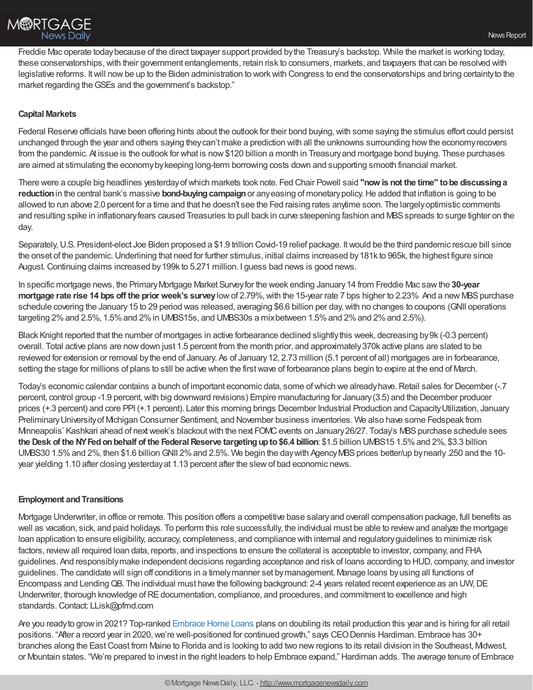## **M®RTGAGE News Daily**

Freddie Mac operate todaybecause of the direct taxpayer support provided bythe Treasury's backstop. While the market is working today, these conservatorships,with their government entanglements, retain risk to consumers, markets, and taxpayers that can be resolved with legislative reforms. Itwill nowbe up to the Biden administration to workwith Congress to end the conservatorships and bring certaintyto the market regarding theGSEs and the government's backstop."

#### **Capital Markets**

Federal Reserve officials have been offering hints about the outlook for their bond buying, with some saying the stimulus effort could persist unchanged through the year and others saying theycan't make a prediction with all the unknowns surrounding howthe economyrecovers from the pandemic. At issue is the outlook for what is now\$120 billion a month in Treasuryand mortgage bond buying. These purchases are aimed at stimulating the economybykeeping long-term borrowing costs down and supporting smooth financial market.

There were a couple big headlines yesterdayofwhich markets took note. Fed Chair Powell said **"now is not the time" tobe discussinga reduction** in the central bank's massive **bond-buying campaign** or any easing of monetary policy. He added that inflation is going to be allowed to run above 2.0 percent for a time and that he doesn't see the Fed raising rates anytime soon. The largelyoptimistic comments and resulting spike in inflationary fears caused Treasuries to pull back in curve steepening fashion and MBS spreads to surge tighter on the day.

Separately, U.S. President-elect Joe Biden proposed a \$1.9 trillion Covid-19 relief package. It would be the third pandemic rescue bill since the onset of the pandemic.Underlining that need for further stimulus, initial claims increased by181k to 965k, the highest figure since August.Continuing claims increased by199k to 5.271 million. I guess bad news is good news.

In specific mortgage news, the PrimaryMortgage Market Surveyfor the week ending January14 from Freddie Mac sawthe **30-year mortgage rate rise 14 bps off the prior week's survey** low of 2.79%, with the 15-year rate 7 bps higher to 2.23% And a new MBS purchase schedule covering the January 15 to 29 period was released, averaging \$6.6 billion per day, with no changes to coupons (GNII operations targeting 2% and 2.5%, 1.5% and 2% in UMBS15s, and UMBS30s a mix between 1.5% and 2% and 2% and 2.5%).

Black Knight reported that the number of mortgages in active forbearance declined slightlythis week, decreasing by9k (-0.3 percent) overall. Total active plans are nowdown just 1.5 percent from the month prior, and approximately370k active plans are slated to be reviewed for extension or removal by the end of January. As of January 12, 2.73 million (5.1 percent of all) mortgages are in forbearance, setting the stage for millions of plans to still be active when the firstwave of forbearance plans begin to expire at the end of March.

Today's economic calendar contains a bunch of important economic data, some of which we already have. Retail sales for December (-.7 percent, control group -1.9 percent,with big downward revisions) Empire manufacturing for January(3.5) and the December producer prices (+.3 percent) and core PPI (+.1 percent). Later this morning brings December Industrial Production and CapacityUtilization, January PreliminaryUniversityof Michigan Consumer Sentiment, and November business inventories. We also have some Fedspeak from Minneapolis' Kashkari ahead of next week's blackout with the next FOMC events on January 26/27. Today's MBS purchase schedule sees **the Desk of the NYFedonbehalf of the FederalReserve targetingupto\$6.4 billion**: \$1.5 billion UMBS15 1.5%and 2%, \$3.3 billion UMBS30 1.5% and 2%, then \$1.6 billion GNII 2% and 2.5%. We begin the day with Agency MBS prices better/up by nearly.250 and the 10year yielding 1.10 after closing yesterday at 1.13 percent after the slew of bad economic news.

#### **Employment and Transitions**

Mortgage Underwriter, in office or remote. This position offers a competitive base salaryand overall compensation package, full benefits as well as vacation, sick, and paid holidays. To perform this role successfully, the individual must be able to reviewand analyze the mortgage loan application to ensure eligibility, accuracy, completeness, and compliance with internal and regulatoryguidelines to minimize risk factors, reviewall required loan data, reports, and inspections to ensure the collateral is acceptable to investor, company, and FHA guidelines. And responsiblymake independent decisions regarding acceptance and risk of loans according to HUD, company, and investor guidelines. The candidate will sign off conditions in a timelymanner set bymanagement. Manage loans byusing all functions of Encompass and LendingQB. The individual must have the following background: 2-4 years related recent experience as an UW,DE Underwriter, thorough knowledge of RE documentation, compliance, and procedures, and commitment to excellence and high standards. Contact: LLisk@pfmd.com

Are you readyto growin 2021? Top-ranked [Embrace](https://www.embracehomeloans.com/) Home Loans plans on doubling its retail production this year and is hiring for all retail positions. "After a record year in 2020, we're well-positioned for continued growth," says CEO Dennis Hardiman. Embrace has 30+ branches along the East Coast from Maine to Florida and is looking to add two new regions to its retail division in the Southeast, Mdwest, or Mountain states. "We're prepared to invest in the right leaders to help Embrace expand," Hardiman adds. The average tenure of Embrace